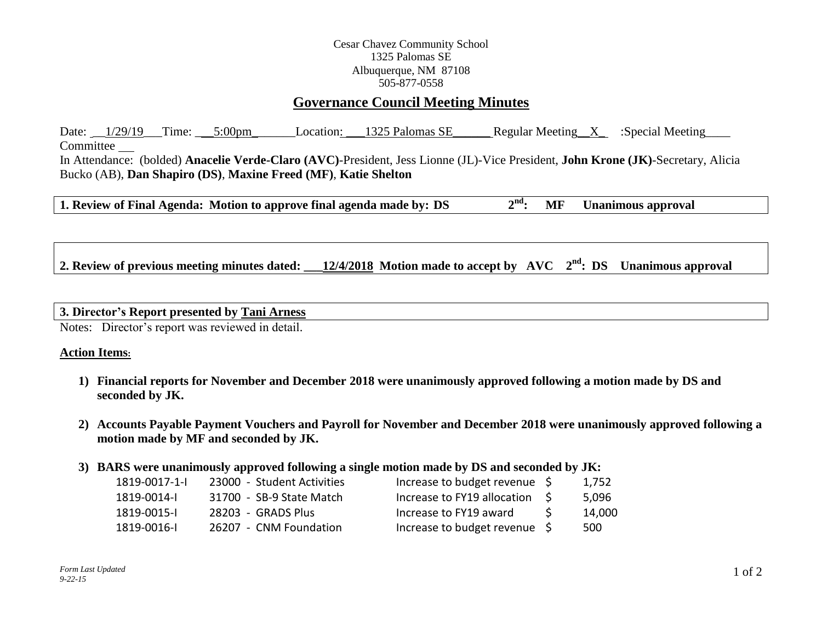## Cesar Chavez Community School 1325 Palomas SE Albuquerque, NM 87108 505-877-0558

# **Governance Council Meeting Minutes**

Date: \_\_1/29/19 \_\_Time: \_\_\_5:00pm \_\_\_\_\_\_\_Location: \_\_\_1325 Palomas SE\_\_\_\_\_\_\_ Regular Meeting \_\_X\_ :Special Meeting Committee In Attendance: (bolded) **Anacelie Verde-Claro (AVC)**-President, Jess Lionne (JL)-Vice President, **John Krone (JK)**-Secretary, Alicia Bucko (AB), **Dan Shapiro (DS)**, **Maxine Freed (MF)**, **Katie Shelton**

**1. Review of Final Agenda:** Motion to approve final agenda made by:  $DS$   $2<sup>nd</sup>$ : **nd: MF Unanimous approval**

**2. Review of previous meeting minutes dated: 12/4/2018** Motion made to accept by AVC  $2<sup>nd</sup>$ : DS Unanimous approval

#### **3. Director's Report presented by Tani Arness**

Notes: Director's report was reviewed in detail.

#### **Action Items:**

- **1) Financial reports for November and December 2018 were unanimously approved following a motion made by DS and seconded by JK.**
- **2) Accounts Payable Payment Vouchers and Payroll for November and December 2018 were unanimously approved following a motion made by MF and seconded by JK.**

## **3) BARS were unanimously approved following a single motion made by DS and seconded by JK:**

| 1819-0017-1-1 | 23000 - Student Activities | Increase to budget revenue \$      | 1.752  |
|---------------|----------------------------|------------------------------------|--------|
| 1819-0014-1   | 31700 - SB-9 State Match   | Increase to FY19 allocation \$     | 5.096  |
| 1819-0015-1   | 28203 - GRADS Plus         | Increase to FY19 award             | 14.000 |
| 1819-0016-1   | 26207 - CNM Foundation     | Increase to budget revenue $\zeta$ | 500    |